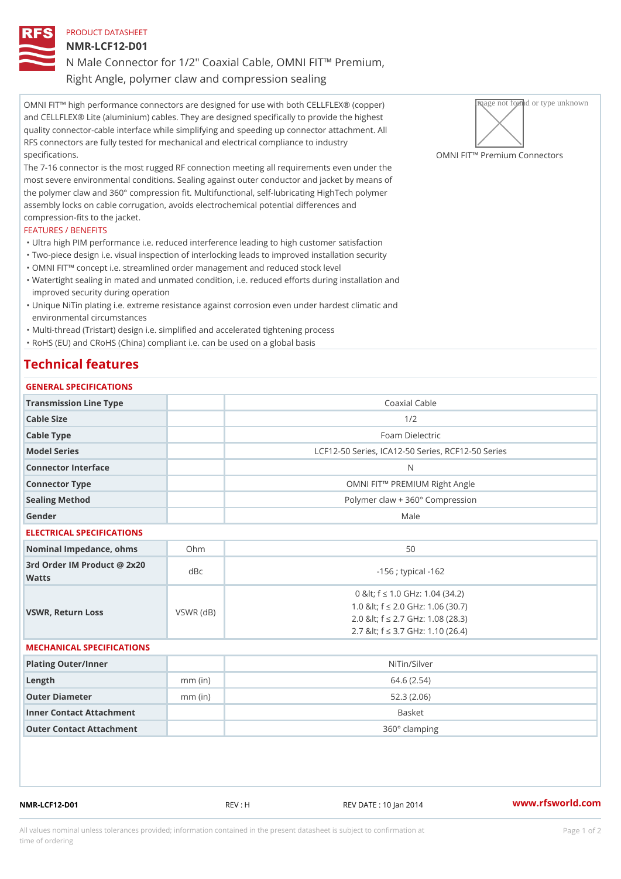### PRODUCT DATASHEET

NMR-LCF12-D01

N Male Connector for 1/2" Coaxial Cable, OMNI FIT!" Premium, Right Angle, polymer claw and compression sealing

OMNI FIT!" high performance connectors are designed for use with both CELLTP IP (@FIX ) (cap) per plane with and CELLFLEX® Lite (aluminium) cables. They are designed specifically to provide the highest quality connector-cable interface while simplifying and speeding up connector attachment. All RFS connectors are fully tested for mechanical and electrical compliance to industry specifications. OMNI FIT!" Premium Connectors

The 7-16 connector is the most rugged RF connection meeting all requirements even under the most severe environmental conditions. Sealing against outer conductor and jacket by means of the polymer claw and 360° compression fit. Multifunctional, self-lubricating HighTech polymer assembly locks on cable corrugation, avoids electrochemical potential differences and compression-fits to the jacket.

### FEATURES / BENEFITS

- "Ultra high PIM performance i.e. reduced interference leading to high customer satisfaction "Two-piece design i.e. visual inspection of interlocking leads to improved installation security
- "OMNI FIT!" concept i.e. streamlined order management and reduced stock level
- Watertight sealing in mated and unmated condition, i.e. reduced efforts during installation and " improved security during operation
- Unique NiTin plating i.e. extreme resistance against corrosion even under hardest climatic and " environmental circumstances

"Multi-thread (Tristart) design i.e. simplified and accelerated tightening process

"RoHS (EU) and CRoHS (China) compliant i.e. can be used on a global basis

# Technical features

| GENERAL SPECIFICATIONS                      |           |                                                                                                                                                        |
|---------------------------------------------|-----------|--------------------------------------------------------------------------------------------------------------------------------------------------------|
| Transmission Line Type                      |           | Coaxial Cable                                                                                                                                          |
| Cable Size                                  |           | 1/2                                                                                                                                                    |
| Cable Type                                  |           | Foam Dielectric                                                                                                                                        |
| Model Series                                |           | LCF12-50 Series, ICA12-50 Series, RCF12-50 Serie                                                                                                       |
| Connector Interface                         |           | N                                                                                                                                                      |
| Connector Type                              |           | OMNI FIT!" PREMIUM Right Angle                                                                                                                         |
| Sealing Method                              |           | Polymer claw + 360° Compression                                                                                                                        |
| Gender                                      |           | Male                                                                                                                                                   |
| ELECTRICAL SPECIFICATIONS                   |           |                                                                                                                                                        |
| Nominal Impedance, ohins Ohm                |           | 50                                                                                                                                                     |
| 3rd Order IM Product @ 2x20<br>dBc<br>Watts |           | $-156$ ; typical $-162$                                                                                                                                |
| VSWR, Return Loss                           | VSWR (dB) | 0 & It; f "d 1.0 GHz: 1.04 (34.2)<br>1.0 & It; f "d 2.0 GHz: 1.06 (30.7)<br>2.0 & It; f "d 2.7 GHz: 1.08 (28.3)<br>2.7 & It; f "d 3.7 GHz: 1.10 (26.4) |
| MECHANICAL SPECIFICATIONS                   |           |                                                                                                                                                        |
| Plating Outer/Inner                         |           | NiTin/Silver                                                                                                                                           |
| Length                                      | $mm$ (in) | 64.6(2.54)                                                                                                                                             |
| Outer Diameter                              | $mm$ (in) | 52.3(2.06)                                                                                                                                             |
| Inner Contact Attachment                    |           | Basket                                                                                                                                                 |
| Outer Contact Attachment                    |           | 360° clamping                                                                                                                                          |

NMR-LCF12-D01 REV : H REV DATE : 10 Jan 2014 WWW.rfsworld.com